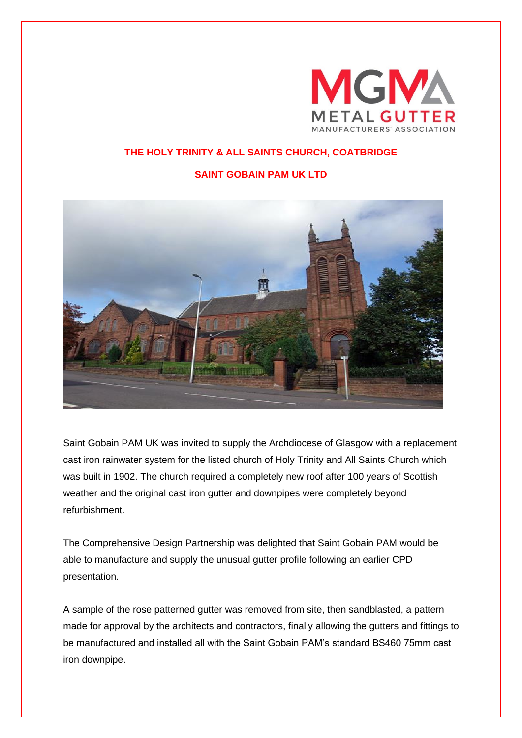

## **THE HOLY TRINITY & ALL SAINTS CHURCH, COATBRIDGE**

## **SAINT GOBAIN PAM UK LTD**



Saint Gobain PAM UK was invited to supply the Archdiocese of Glasgow with a replacement cast iron rainwater system for the listed church of Holy Trinity and All Saints Church which was built in 1902. The church required a completely new roof after 100 years of Scottish weather and the original cast iron gutter and downpipes were completely beyond refurbishment.

The Comprehensive Design Partnership was delighted that Saint Gobain PAM would be able to manufacture and supply the unusual gutter profile following an earlier CPD presentation.

A sample of the rose patterned gutter was removed from site, then sandblasted, a pattern made for approval by the architects and contractors, finally allowing the gutters and fittings to be manufactured and installed all with the Saint Gobain PAM's standard BS460 75mm cast iron downpipe.